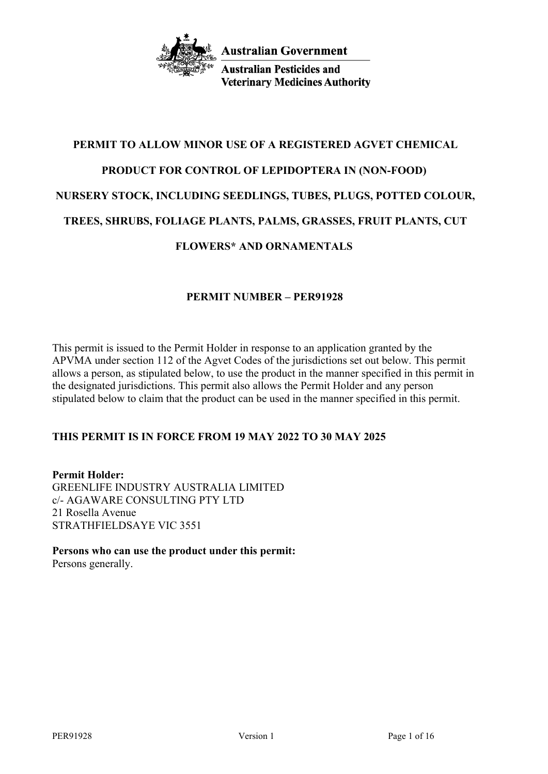

**Australian Pesticides and Veterinary Medicines Authority** 

# **PERMIT TO ALLOW MINOR USE OF A REGISTERED AGVET CHEMICAL PRODUCT FOR CONTROL OF LEPIDOPTERA IN (NON-FOOD) NURSERY STOCK, INCLUDING SEEDLINGS, TUBES, PLUGS, POTTED COLOUR, TREES, SHRUBS, FOLIAGE PLANTS, PALMS, GRASSES, FRUIT PLANTS, CUT FLOWERS\* AND ORNAMENTALS**

## **PERMIT NUMBER – PER91928**

This permit is issued to the Permit Holder in response to an application granted by the APVMA under section 112 of the Agvet Codes of the jurisdictions set out below. This permit allows a person, as stipulated below, to use the product in the manner specified in this permit in the designated jurisdictions. This permit also allows the Permit Holder and any person stipulated below to claim that the product can be used in the manner specified in this permit.

# **THIS PERMIT IS IN FORCE FROM 19 MAY 2022 TO 30 MAY 2025**

**Permit Holder:** GREENLIFE INDUSTRY AUSTRALIA LIMITED c/- AGAWARE CONSULTING PTY LTD 21 Rosella Avenue STRATHFIELDSAYE VIC 3551

**Persons who can use the product under this permit:** Persons generally.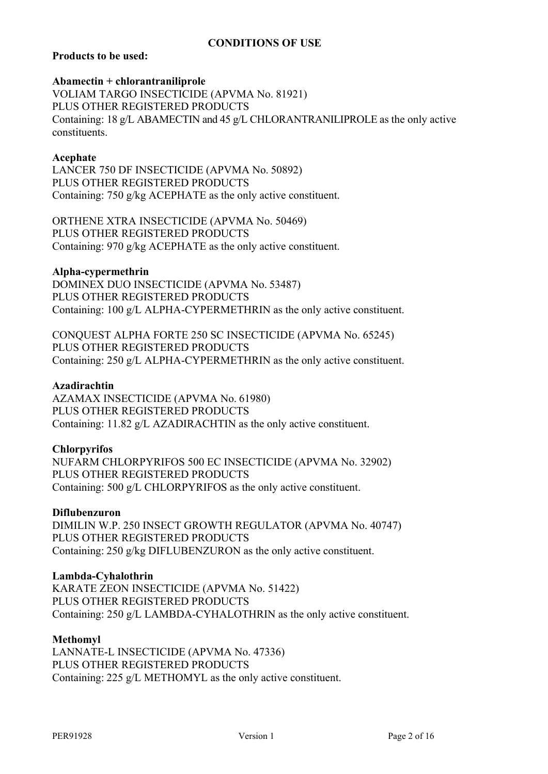## **CONDITIONS OF USE**

## **Products to be used:**

#### **Abamectin + chlorantraniliprole**

VOLIAM TARGO INSECTICIDE (APVMA No. 81921) PLUS OTHER REGISTERED PRODUCTS Containing: 18 g/L ABAMECTIN and 45 g/L CHLORANTRANILIPROLE as the only active constituents.

#### **Acephate**

LANCER 750 DF INSECTICIDE (APVMA No. 50892) PLUS OTHER REGISTERED PRODUCTS Containing: 750 g/kg ACEPHATE as the only active constituent.

ORTHENE XTRA INSECTICIDE (APVMA No. 50469) PLUS OTHER REGISTERED PRODUCTS Containing: 970 g/kg ACEPHATE as the only active constituent.

#### **Alpha-cypermethrin**

DOMINEX DUO INSECTICIDE (APVMA No. 53487) PLUS OTHER REGISTERED PRODUCTS Containing: 100 g/L ALPHA-CYPERMETHRIN as the only active constituent.

CONQUEST ALPHA FORTE 250 SC INSECTICIDE (APVMA No. 65245) PLUS OTHER REGISTERED PRODUCTS Containing: 250 g/L ALPHA-CYPERMETHRIN as the only active constituent.

#### **Azadirachtin**

AZAMAX INSECTICIDE (APVMA No. 61980) PLUS OTHER REGISTERED PRODUCTS Containing: 11.82 g/L AZADIRACHTIN as the only active constituent.

#### **Chlorpyrifos**

NUFARM CHLORPYRIFOS 500 EC INSECTICIDE (APVMA No. 32902) PLUS OTHER REGISTERED PRODUCTS Containing: 500 g/L CHLORPYRIFOS as the only active constituent.

#### **Diflubenzuron**

DIMILIN W.P. 250 INSECT GROWTH REGULATOR (APVMA No. 40747) PLUS OTHER REGISTERED PRODUCTS Containing: 250 g/kg DIFLUBENZURON as the only active constituent.

#### **Lambda-Cyhalothrin**

KARATE ZEON INSECTICIDE (APVMA No. 51422) PLUS OTHER REGISTERED PRODUCTS Containing: 250 g/L LAMBDA-CYHALOTHRIN as the only active constituent.

#### **Methomyl**

LANNATE-L INSECTICIDE (APVMA No. 47336) PLUS OTHER REGISTERED PRODUCTS Containing: 225 g/L METHOMYL as the only active constituent.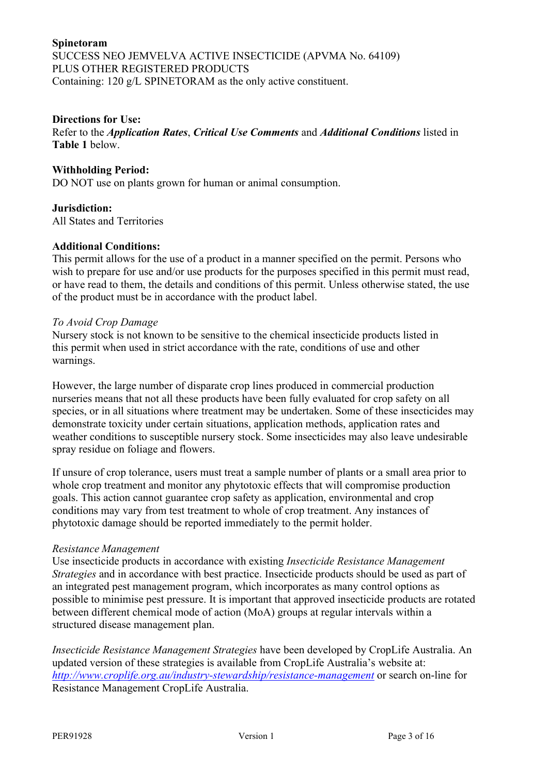## **Spinetoram** SUCCESS NEO JEMVELVA ACTIVE INSECTICIDE (APVMA No. 64109) PLUS OTHER REGISTERED PRODUCTS Containing: 120 g/L SPINETORAM as the only active constituent.

#### **Directions for Use:**

Refer to the *Application Rates*, *Critical Use Comments* and *Additional Conditions* listed in **Table 1** below.

#### **Withholding Period:**

DO NOT use on plants grown for human or animal consumption.

#### **Jurisdiction:**

All States and Territories

#### **Additional Conditions:**

This permit allows for the use of a product in a manner specified on the permit. Persons who wish to prepare for use and/or use products for the purposes specified in this permit must read, or have read to them, the details and conditions of this permit. Unless otherwise stated, the use of the product must be in accordance with the product label.

#### *To Avoid Crop Damage*

Nursery stock is not known to be sensitive to the chemical insecticide products listed in this permit when used in strict accordance with the rate, conditions of use and other warnings.

However, the large number of disparate crop lines produced in commercial production nurseries means that not all these products have been fully evaluated for crop safety on all species, or in all situations where treatment may be undertaken. Some of these insecticides may demonstrate toxicity under certain situations, application methods, application rates and weather conditions to susceptible nursery stock. Some insecticides may also leave undesirable spray residue on foliage and flowers.

If unsure of crop tolerance, users must treat a sample number of plants or a small area prior to whole crop treatment and monitor any phytotoxic effects that will compromise production goals. This action cannot guarantee crop safety as application, environmental and crop conditions may vary from test treatment to whole of crop treatment. Any instances of phytotoxic damage should be reported immediately to the permit holder.

#### *Resistance Management*

Use insecticide products in accordance with existing *Insecticide Resistance Management Strategies* and in accordance with best practice. Insecticide products should be used as part of an integrated pest management program, which incorporates as many control options as possible to minimise pest pressure. It is important that approved insecticide products are rotated between different chemical mode of action (MoA) groups at regular intervals within a structured disease management plan.

*Insecticide Resistance Management Strategies* have been developed by CropLife Australia. An updated version of these strategies is available from CropLife Australia's website at: *<http://www.croplife.org.au/industry-stewardship/resistance-management>* or search on-line for Resistance Management CropLife Australia.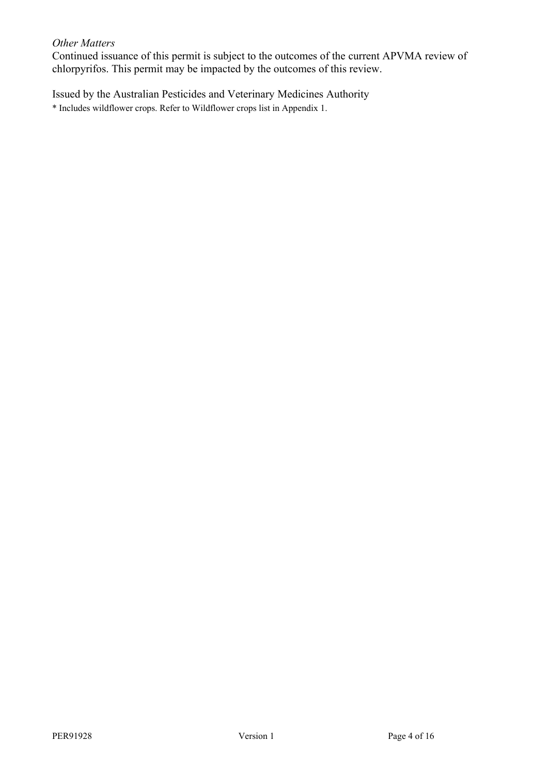#### *Other Matters*

Continued issuance of this permit is subject to the outcomes of the current APVMA review of chlorpyrifos. This permit may be impacted by the outcomes of this review.

Issued by the Australian Pesticides and Veterinary Medicines Authority \* Includes wildflower crops. Refer to Wildflower crops list in Appendix 1.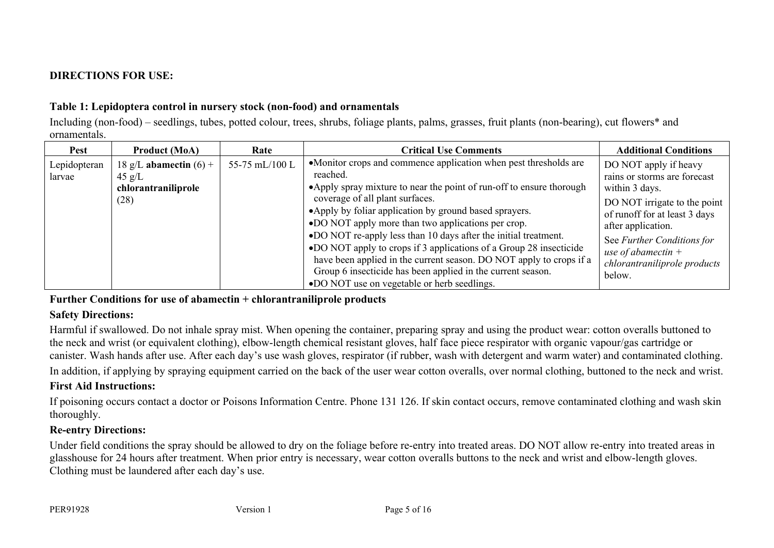# **DIRECTIONS FOR USE:**

## **Table 1: Lepidoptera control in nursery stock (non-food) and ornamentals**

Including (non-food) – seedlings, tubes, potted colour, trees, shrubs, foliage plants, palms, grasses, fruit plants (non-bearing), cut flowers\* and ornamentals.

| Pest                   | <b>Product (MoA)</b>                                                        | Rate           | <b>Critical Use Comments</b>                                                                                                                                                                                                                                                                                                                                                                                                                                                                                                                                                                                                            | <b>Additional Conditions</b>                                                                                                                                                                                                                                           |
|------------------------|-----------------------------------------------------------------------------|----------------|-----------------------------------------------------------------------------------------------------------------------------------------------------------------------------------------------------------------------------------------------------------------------------------------------------------------------------------------------------------------------------------------------------------------------------------------------------------------------------------------------------------------------------------------------------------------------------------------------------------------------------------------|------------------------------------------------------------------------------------------------------------------------------------------------------------------------------------------------------------------------------------------------------------------------|
| Lepidopteran<br>larvae | 18 g/L abamectin $(6)$ +<br>$45 \text{ g/L}$<br>chlorantraniliprole<br>(28) | 55-75 mL/100 L | •Monitor crops and commence application when pest thresholds are<br>reached.<br>• Apply spray mixture to near the point of run-off to ensure thorough<br>coverage of all plant surfaces.<br>• Apply by foliar application by ground based sprayers.<br>•DO NOT apply more than two applications per crop.<br>•DO NOT re-apply less than 10 days after the initial treatment.<br>•DO NOT apply to crops if 3 applications of a Group 28 insecticide<br>have been applied in the current season. DO NOT apply to crops if a<br>Group 6 insecticide has been applied in the current season.<br>•DO NOT use on vegetable or herb seedlings. | DO NOT apply if heavy<br>rains or storms are forecast<br>within 3 days.<br>DO NOT irrigate to the point $\vert$<br>of runoff for at least 3 days<br>after application.<br>See Further Conditions for<br>use of abamectin $+$<br>chlorantraniliprole products<br>below. |

## **Further Conditions for use of abamectin + chlorantraniliprole products**

## **Safety Directions:**

Harmful if swallowed. Do not inhale spray mist. When opening the container, preparing spray and using the product wear: cotton overalls buttoned to the neck and wrist (or equivalent clothing), elbow-length chemical resistant gloves, half face piece respirator with organic vapour/gas cartridge or canister. Wash hands after use. After each day's use wash gloves, respirator (if rubber, wash with detergent and warm water) and contaminated clothing.

In addition, if applying by spraying equipment carried on the back of the user wear cotton overalls, over normal clothing, buttoned to the neck and wrist.

## **First Aid Instructions:**

If poisoning occurs contact a doctor or Poisons Information Centre. Phone 131 126. If skin contact occurs, remove contaminated clothing and wash skin thoroughly.

# **Re-entry Directions:**

Under field conditions the spray should be allowed to dry on the foliage before re-entry into treated areas. DO NOT allow re-entry into treated areas in glasshouse for 24 hours after treatment. When prior entry is necessary, wear cotton overalls buttons to the neck and wrist and elbow-length gloves. Clothing must be laundered after each day's use.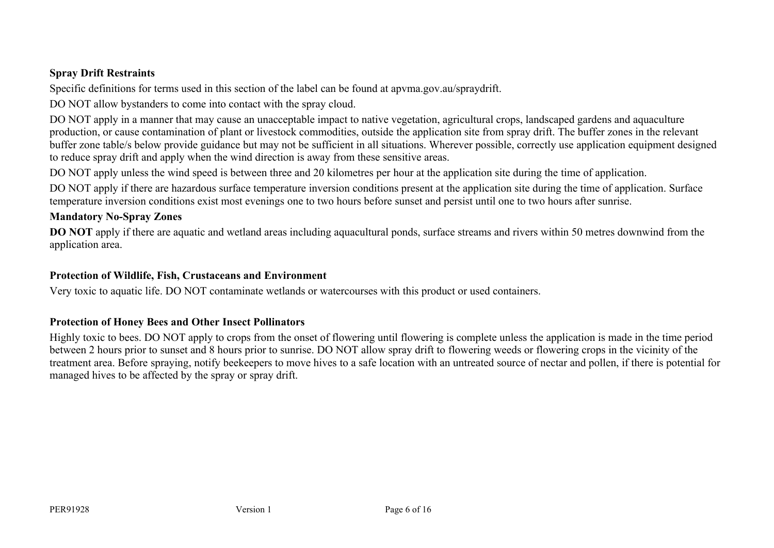## **Spray Drift Restraints**

Specific definitions for terms used in this section of the label can be found at apvma.gov.au/spraydrift.

DO NOT allow bystanders to come into contact with the spray cloud.

DO NOT apply in a manner that may cause an unacceptable impact to native vegetation, agricultural crops, landscaped gardens and aquaculture production, or cause contamination of plant or livestock commodities, outside the application site from spray drift. The buffer zones in the relevant buffer zone table/s below provide guidance but may not be sufficient in all situations. Wherever possible, correctly use application equipment designed to reduce spray drift and apply when the wind direction is away from these sensitive areas.

DO NOT apply unless the wind speed is between three and 20 kilometres per hour at the application site during the time of application.

DO NOT apply if there are hazardous surface temperature inversion conditions present at the application site during the time of application. Surface temperature inversion conditions exist most evenings one to two hours before sunset and persist until one to two hours after sunrise.

## **Mandatory No-Spray Zones**

**DO** NOT apply if there are aquatic and wetland areas including aquacultural ponds, surface streams and rivers within 50 metres downwind from the application area.

## **Protection of Wildlife, Fish, Crustaceans and Environment**

Very toxic to aquatic life. DO NOT contaminate wetlands or watercourses with this product or used containers.

# **Protection of Honey Bees and Other Insect Pollinators**

Highly toxic to bees. DO NOT apply to crops from the onset of flowering until flowering is complete unless the application is made in the time period between 2 hours prior to sunset and 8 hours prior to sunrise. DO NOT allow spray drift to flowering weeds or flowering crops in the vicinity of the treatment area. Before spraying, notify beekeepers to move hives to a safe location with an untreated source of nectar and pollen, if there is potential for managed hives to be affected by the spray or spray drift.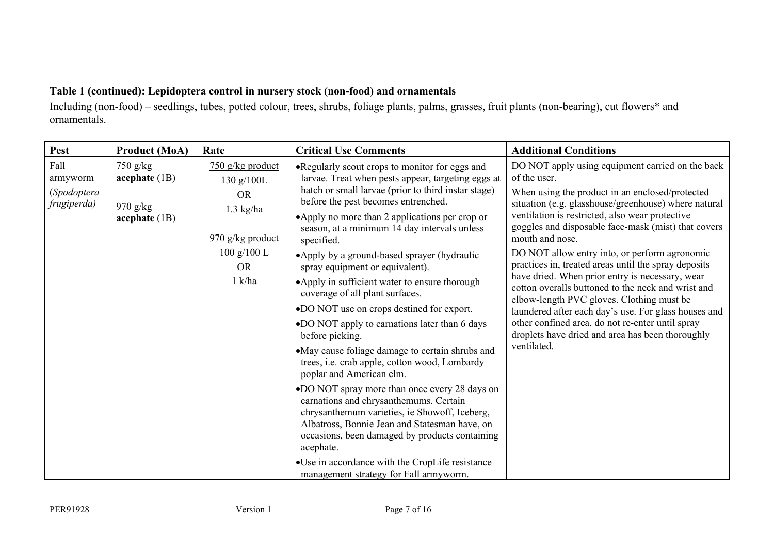# **Table 1 (continued): Lepidoptera control in nursery stock (non-food) and ornamentals**

Including (non-food) – seedlings, tubes, potted colour, trees, shrubs, foliage plants, palms, grasses, fruit plants (non-bearing), cut flowers\* and ornamentals.

| Pest<br><b>Product (MoA)</b>                                                                                     | Rate                                                                                                                                                                               | <b>Critical Use Comments</b>                                                                                                                                                                                                                                                                                                                                                                                                                                                                                                                                                                                                                                                                                                                                                                                                                                                                                                                                                                            | <b>Additional Conditions</b>                                                                                                                                                                                                                                                                                                                                                                                                                                                                                                                                                                                                                                                                                                                           |
|------------------------------------------------------------------------------------------------------------------|------------------------------------------------------------------------------------------------------------------------------------------------------------------------------------|---------------------------------------------------------------------------------------------------------------------------------------------------------------------------------------------------------------------------------------------------------------------------------------------------------------------------------------------------------------------------------------------------------------------------------------------------------------------------------------------------------------------------------------------------------------------------------------------------------------------------------------------------------------------------------------------------------------------------------------------------------------------------------------------------------------------------------------------------------------------------------------------------------------------------------------------------------------------------------------------------------|--------------------------------------------------------------------------------------------------------------------------------------------------------------------------------------------------------------------------------------------------------------------------------------------------------------------------------------------------------------------------------------------------------------------------------------------------------------------------------------------------------------------------------------------------------------------------------------------------------------------------------------------------------------------------------------------------------------------------------------------------------|
| Fall<br>$750$ g/kg<br>acceptiate (1B)<br>armyworm<br>(Spodoptera<br>frugiperda)<br>$970$ g/kg<br>acceptiate (1B) | $750$ g/kg product<br>130 $g/100L$<br><b>OR</b><br>$1.3$ kg/ha<br>$\frac{970 \text{ g/kg} \cdot \text{product}}{200 \text{ g/kg}}$<br>100 g/100 L<br><b>OR</b><br>$1 \text{ k/ha}$ | . Regularly scout crops to monitor for eggs and<br>larvae. Treat when pests appear, targeting eggs at<br>hatch or small larvae (prior to third instar stage)<br>before the pest becomes entrenched.<br>•Apply no more than 2 applications per crop or<br>season, at a minimum 14 day intervals unless<br>specified.<br>• Apply by a ground-based sprayer (hydraulic<br>spray equipment or equivalent).<br>•Apply in sufficient water to ensure thorough<br>coverage of all plant surfaces.<br>•DO NOT use on crops destined for export.<br>•DO NOT apply to carnations later than 6 days<br>before picking.<br>•May cause foliage damage to certain shrubs and<br>trees, i.e. crab apple, cotton wood, Lombardy<br>poplar and American elm.<br>•DO NOT spray more than once every 28 days on<br>carnations and chrysanthemums. Certain<br>chrysanthemum varieties, ie Showoff, Iceberg,<br>Albatross, Bonnie Jean and Statesman have, on<br>occasions, been damaged by products containing<br>acephate. | DO NOT apply using equipment carried on the back<br>of the user.<br>When using the product in an enclosed/protected<br>situation (e.g. glasshouse/greenhouse) where natural<br>ventilation is restricted, also wear protective<br>goggles and disposable face-mask (mist) that covers<br>mouth and nose.<br>DO NOT allow entry into, or perform agronomic<br>practices in, treated areas until the spray deposits<br>have dried. When prior entry is necessary, wear<br>cotton overalls buttoned to the neck and wrist and<br>elbow-length PVC gloves. Clothing must be<br>laundered after each day's use. For glass houses and<br>other confined area, do not re-enter until spray<br>droplets have dried and area has been thoroughly<br>ventilated. |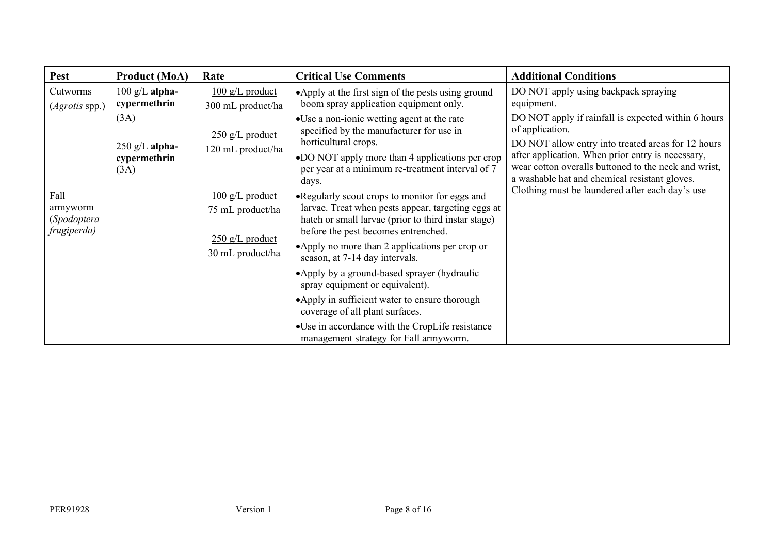| Pest                                           | <b>Product (MoA)</b>                     | Rate                                           | <b>Critical Use Comments</b>                                                                                                                                                                        | <b>Additional Conditions</b>                                                                                                                               |
|------------------------------------------------|------------------------------------------|------------------------------------------------|-----------------------------------------------------------------------------------------------------------------------------------------------------------------------------------------------------|------------------------------------------------------------------------------------------------------------------------------------------------------------|
| Cutworms<br>$(Agrotis$ spp.)                   | $100 \text{ g/L}$ alpha-<br>cypermethrin | $100 \text{ g/L}$ product<br>300 mL product/ha | • Apply at the first sign of the pests using ground<br>boom spray application equipment only.                                                                                                       | DO NOT apply using backpack spraying<br>equipment.                                                                                                         |
|                                                | (3A)<br>$250$ g/L alpha-                 | $250$ g/L product<br>120 mL product/ha         | • Use a non-ionic wetting agent at the rate<br>specified by the manufacturer for use in<br>horticultural crops.                                                                                     | DO NOT apply if rainfall is expected within 6 hours<br>of application.<br>DO NOT allow entry into treated areas for 12 hours                               |
|                                                | cypermethrin<br>(3A)                     |                                                | •DO NOT apply more than 4 applications per crop<br>per year at a minimum re-treatment interval of 7<br>days.                                                                                        | after application. When prior entry is necessary,<br>wear cotton overalls buttoned to the neck and wrist,<br>a washable hat and chemical resistant gloves. |
| Fall<br>armyworm<br>(Spodoptera<br>frugiperda) |                                          | $100 g/L$ product<br>75 mL product/ha          | • Regularly scout crops to monitor for eggs and<br>larvae. Treat when pests appear, targeting eggs at<br>hatch or small larvae (prior to third instar stage)<br>before the pest becomes entrenched. | Clothing must be laundered after each day's use                                                                                                            |
|                                                |                                          | $250$ g/L product<br>30 mL product/ha          | •Apply no more than 2 applications per crop or<br>season, at 7-14 day intervals.                                                                                                                    |                                                                                                                                                            |
|                                                |                                          |                                                | •Apply by a ground-based sprayer (hydraulic<br>spray equipment or equivalent).                                                                                                                      |                                                                                                                                                            |
|                                                |                                          |                                                | •Apply in sufficient water to ensure thorough<br>coverage of all plant surfaces.                                                                                                                    |                                                                                                                                                            |
|                                                |                                          |                                                | •Use in accordance with the CropLife resistance<br>management strategy for Fall armyworm.                                                                                                           |                                                                                                                                                            |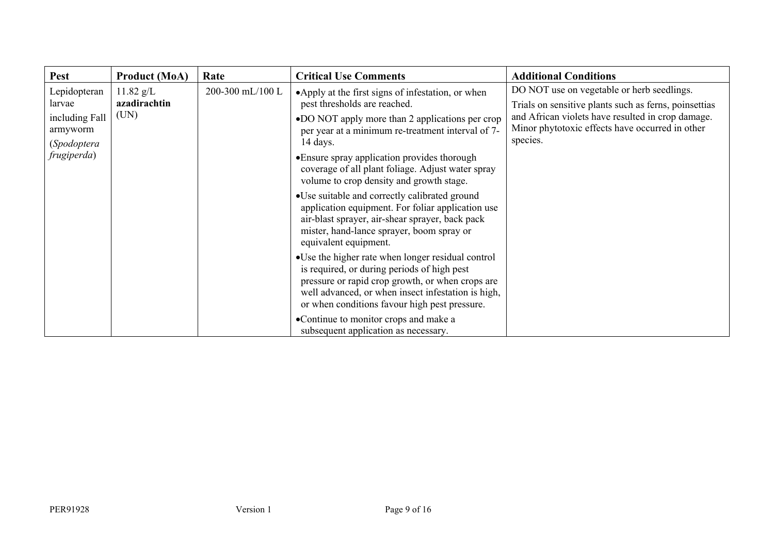| <b>Pest</b>                        | <b>Product (MoA)</b>                            | Rate                                                                                                             | <b>Critical Use Comments</b>                                                                                                                                                                                                                                 | <b>Additional Conditions</b> |
|------------------------------------|-------------------------------------------------|------------------------------------------------------------------------------------------------------------------|--------------------------------------------------------------------------------------------------------------------------------------------------------------------------------------------------------------------------------------------------------------|------------------------------|
| Lepidopteran<br>larvae             | $11.82$ g/L<br>200-300 mL/100 L<br>azadirachtin | • Apply at the first signs of infestation, or when<br>pest thresholds are reached.                               | DO NOT use on vegetable or herb seedlings.<br>Trials on sensitive plants such as ferns, poinsettias<br>and African violets have resulted in crop damage.<br>Minor phytotoxic effects have occurred in other<br>species.                                      |                              |
| (UN)<br>including Fall<br>armyworm |                                                 | •DO NOT apply more than 2 applications per crop<br>per year at a minimum re-treatment interval of 7-<br>14 days. |                                                                                                                                                                                                                                                              |                              |
| (Spodoptera<br>frugiperda)         |                                                 |                                                                                                                  | • Ensure spray application provides thorough<br>coverage of all plant foliage. Adjust water spray<br>volume to crop density and growth stage.                                                                                                                |                              |
|                                    |                                                 |                                                                                                                  | •Use suitable and correctly calibrated ground<br>application equipment. For foliar application use<br>air-blast sprayer, air-shear sprayer, back pack<br>mister, hand-lance sprayer, boom spray or<br>equivalent equipment.                                  |                              |
|                                    |                                                 |                                                                                                                  | • Use the higher rate when longer residual control<br>is required, or during periods of high pest<br>pressure or rapid crop growth, or when crops are<br>well advanced, or when insect infestation is high,<br>or when conditions favour high pest pressure. |                              |
|                                    |                                                 |                                                                                                                  | •Continue to monitor crops and make a<br>subsequent application as necessary.                                                                                                                                                                                |                              |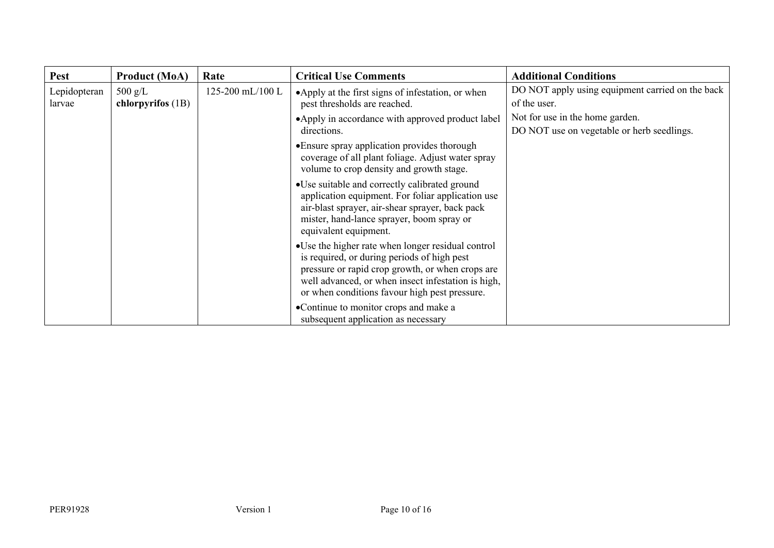| <b>Pest</b>            | <b>Product (MoA)</b>                   | Rate             | <b>Critical Use Comments</b>                                                                                                                                                                                                                                 | <b>Additional Conditions</b>                                                  |
|------------------------|----------------------------------------|------------------|--------------------------------------------------------------------------------------------------------------------------------------------------------------------------------------------------------------------------------------------------------------|-------------------------------------------------------------------------------|
| Lepidopteran<br>larvae | $500 \text{ g/L}$<br>chlorpyrifos (1B) | 125-200 mL/100 L | •Apply at the first signs of infestation, or when<br>pest thresholds are reached.                                                                                                                                                                            | DO NOT apply using equipment carried on the back<br>of the user.              |
|                        |                                        |                  | •Apply in accordance with approved product label<br>directions.                                                                                                                                                                                              | Not for use in the home garden.<br>DO NOT use on vegetable or herb seedlings. |
|                        |                                        |                  | • Ensure spray application provides thorough<br>coverage of all plant foliage. Adjust water spray<br>volume to crop density and growth stage.                                                                                                                |                                                                               |
|                        |                                        |                  | • Use suitable and correctly calibrated ground<br>application equipment. For foliar application use<br>air-blast sprayer, air-shear sprayer, back pack<br>mister, hand-lance sprayer, boom spray or<br>equivalent equipment.                                 |                                                                               |
|                        |                                        |                  | • Use the higher rate when longer residual control<br>is required, or during periods of high pest<br>pressure or rapid crop growth, or when crops are<br>well advanced, or when insect infestation is high,<br>or when conditions favour high pest pressure. |                                                                               |
|                        |                                        |                  | •Continue to monitor crops and make a<br>subsequent application as necessary                                                                                                                                                                                 |                                                                               |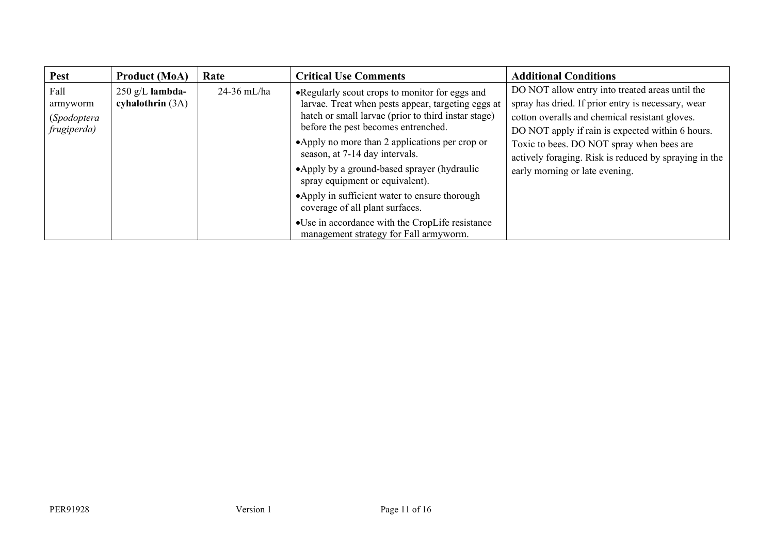| <b>Pest</b>                                    | <b>Product (MoA)</b>                    | Rate          | <b>Critical Use Comments</b>                                                                                                                                                                                                                                                                                                                                                | <b>Additional Conditions</b>                                                                                                                                                                                                                                                                                                                        |
|------------------------------------------------|-----------------------------------------|---------------|-----------------------------------------------------------------------------------------------------------------------------------------------------------------------------------------------------------------------------------------------------------------------------------------------------------------------------------------------------------------------------|-----------------------------------------------------------------------------------------------------------------------------------------------------------------------------------------------------------------------------------------------------------------------------------------------------------------------------------------------------|
| Fall<br>armyworm<br>(Spodoptera<br>frugiperda) | $250$ g/L lambda-<br>cyhalothrin $(3A)$ | $24-36$ mL/ha | • Regularly scout crops to monitor for eggs and<br>larvae. Treat when pests appear, targeting eggs at<br>hatch or small larvae (prior to third instar stage)<br>before the pest becomes entrenched.<br>• Apply no more than 2 applications per crop or<br>season, at 7-14 day intervals.<br>• Apply by a ground-based sprayer (hydraulic<br>spray equipment or equivalent). | DO NOT allow entry into treated areas until the<br>spray has dried. If prior entry is necessary, wear<br>cotton overalls and chemical resistant gloves.<br>DO NOT apply if rain is expected within 6 hours.<br>Toxic to bees. DO NOT spray when bees are<br>actively foraging. Risk is reduced by spraying in the<br>early morning or late evening. |
|                                                |                                         |               | • Apply in sufficient water to ensure thorough<br>coverage of all plant surfaces.                                                                                                                                                                                                                                                                                           |                                                                                                                                                                                                                                                                                                                                                     |
|                                                |                                         |               | •Use in accordance with the CropLife resistance<br>management strategy for Fall armyworm.                                                                                                                                                                                                                                                                                   |                                                                                                                                                                                                                                                                                                                                                     |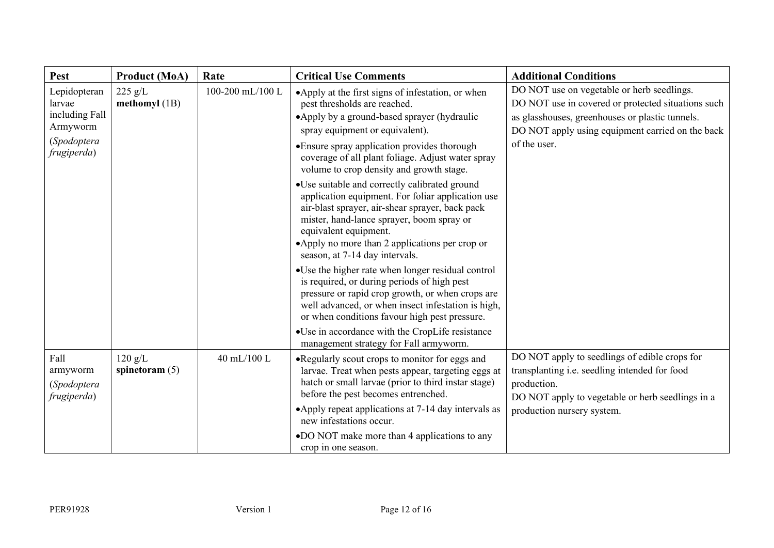| <b>Pest</b>                                                                                                        | <b>Product (MoA)</b>        | Rate             | <b>Critical Use Comments</b>                                                                                                                                                                                                                                                                                                                                         | <b>Additional Conditions</b>                                                                                                                                                                                            |
|--------------------------------------------------------------------------------------------------------------------|-----------------------------|------------------|----------------------------------------------------------------------------------------------------------------------------------------------------------------------------------------------------------------------------------------------------------------------------------------------------------------------------------------------------------------------|-------------------------------------------------------------------------------------------------------------------------------------------------------------------------------------------------------------------------|
| $225$ g/L<br>Lepidopteran<br>methomyl $(1B)$<br>larvae<br>including Fall<br>Armyworm<br>(Spodoptera<br>frugiperda) |                             | 100-200 mL/100 L | •Apply at the first signs of infestation, or when<br>pest thresholds are reached.<br>• Apply by a ground-based sprayer (hydraulic<br>spray equipment or equivalent).<br>• Ensure spray application provides thorough<br>coverage of all plant foliage. Adjust water spray<br>volume to crop density and growth stage.                                                | DO NOT use on vegetable or herb seedlings.<br>DO NOT use in covered or protected situations such<br>as glasshouses, greenhouses or plastic tunnels.<br>DO NOT apply using equipment carried on the back<br>of the user. |
|                                                                                                                    |                             |                  | •Use suitable and correctly calibrated ground<br>application equipment. For foliar application use<br>air-blast sprayer, air-shear sprayer, back pack<br>mister, hand-lance sprayer, boom spray or<br>equivalent equipment.<br>•Apply no more than 2 applications per crop or<br>season, at 7-14 day intervals.<br>•Use the higher rate when longer residual control |                                                                                                                                                                                                                         |
|                                                                                                                    |                             |                  | is required, or during periods of high pest<br>pressure or rapid crop growth, or when crops are<br>well advanced, or when insect infestation is high,<br>or when conditions favour high pest pressure.<br>•Use in accordance with the CropLife resistance<br>management strategy for Fall armyworm.                                                                  |                                                                                                                                                                                                                         |
| Fall<br>armyworm<br>(Spodoptera<br>frugiperda)                                                                     | 120 g/L<br>spinetoram $(5)$ | 40 mL/100 L      | • Regularly scout crops to monitor for eggs and<br>larvae. Treat when pests appear, targeting eggs at<br>hatch or small larvae (prior to third instar stage)<br>before the pest becomes entrenched.<br>•Apply repeat applications at 7-14 day intervals as<br>new infestations occur.<br>•DO NOT make more than 4 applications to any<br>crop in one season.         | DO NOT apply to seedlings of edible crops for<br>transplanting i.e. seedling intended for food<br>production.<br>DO NOT apply to vegetable or herb seedlings in a<br>production nursery system.                         |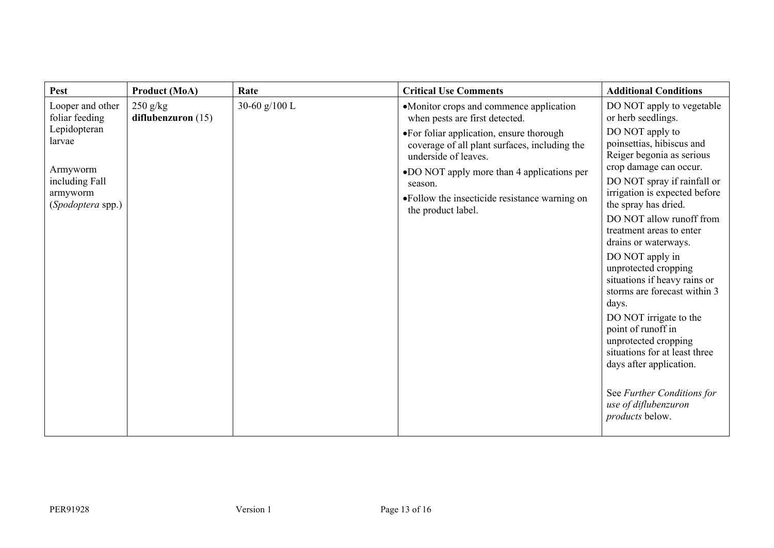| Pest                               | <b>Product (MoA)</b>               | Rate          | <b>Critical Use Comments</b>                                                                                       | <b>Additional Conditions</b>                                                                  |
|------------------------------------|------------------------------------|---------------|--------------------------------------------------------------------------------------------------------------------|-----------------------------------------------------------------------------------------------|
| Looper and other<br>foliar feeding | $250$ g/kg<br>diflubenzuron $(15)$ | 30-60 g/100 L | •Monitor crops and commence application<br>when pests are first detected.                                          | DO NOT apply to vegetable<br>or herb seedlings.                                               |
| Lepidopteran<br>larvae             |                                    |               | • For foliar application, ensure thorough<br>coverage of all plant surfaces, including the<br>underside of leaves. | DO NOT apply to<br>poinsettias, hibiscus and<br>Reiger begonia as serious                     |
| Armyworm<br>including Fall         |                                    |               | •DO NOT apply more than 4 applications per<br>season.                                                              | crop damage can occur.<br>DO NOT spray if rainfall or                                         |
| armyworm<br>(Spodoptera spp.)      |                                    |               | • Follow the insecticide resistance warning on<br>the product label.                                               | irrigation is expected before<br>the spray has dried.                                         |
|                                    |                                    |               |                                                                                                                    | DO NOT allow runoff from<br>treatment areas to enter                                          |
|                                    |                                    |               |                                                                                                                    | drains or waterways.<br>DO NOT apply in                                                       |
|                                    |                                    |               |                                                                                                                    | unprotected cropping<br>situations if heavy rains or<br>storms are forecast within 3<br>days. |
|                                    |                                    |               |                                                                                                                    | DO NOT irrigate to the<br>point of runoff in                                                  |
|                                    |                                    |               |                                                                                                                    | unprotected cropping<br>situations for at least three<br>days after application.              |
|                                    |                                    |               |                                                                                                                    | See Further Conditions for<br>use of diflubenzuron<br>products below.                         |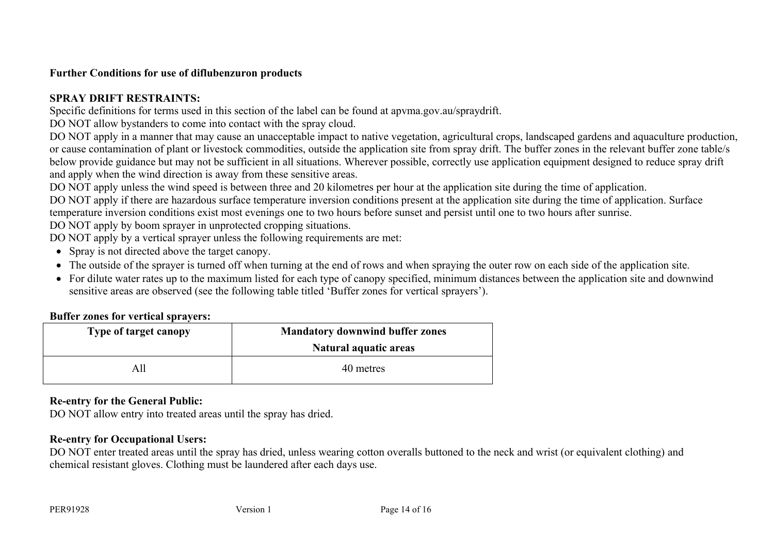## **Further Conditions for use of diflubenzuron products**

# **SPRAY DRIFT RESTRAINTS:**

Specific definitions for terms used in this section of the label can be found at apvma.gov.au/spraydrift.

DO NOT allow bystanders to come into contact with the spray cloud.

DO NOT apply in a manner that may cause an unacceptable impact to native vegetation, agricultural crops, landscaped gardens and aquaculture production, or cause contamination of plant or livestock commodities, outside the application site from spray drift. The buffer zones in the relevant buffer zone table/s below provide guidance but may not be sufficient in all situations. Wherever possible, correctly use application equipment designed to reduce spray drift and apply when the wind direction is away from these sensitive areas.

DO NOT apply unless the wind speed is between three and 20 kilometres per hour at the application site during the time of application.

DO NOT apply if there are hazardous surface temperature inversion conditions present at the application site during the time of application. Surface temperature inversion conditions exist most evenings one to two hours before sunset and persist until one to two hours after sunrise.

DO NOT apply by boom sprayer in unprotected cropping situations.

DO NOT apply by a vertical sprayer unless the following requirements are met:

- Spray is not directed above the target canopy.
- The outside of the sprayer is turned off when turning at the end of rows and when spraying the outer row on each side of the application site.
- For dilute water rates up to the maximum listed for each type of canopy specified, minimum distances between the application site and downwind sensitive areas are observed (see the following table titled 'Buffer zones for vertical sprayers').

# **Buffer zones for vertical sprayers:**

| Type of target canopy | <b>Mandatory downwind buffer zones</b><br>Natural aquatic areas |
|-----------------------|-----------------------------------------------------------------|
| All                   | 40 metres                                                       |

# **Re-entry for the General Public:**

DO NOT allow entry into treated areas until the spray has dried.

# **Re-entry for Occupational Users:**

DO NOT enter treated areas until the spray has dried, unless wearing cotton overalls buttoned to the neck and wrist (or equivalent clothing) and chemical resistant gloves. Clothing must be laundered after each days use.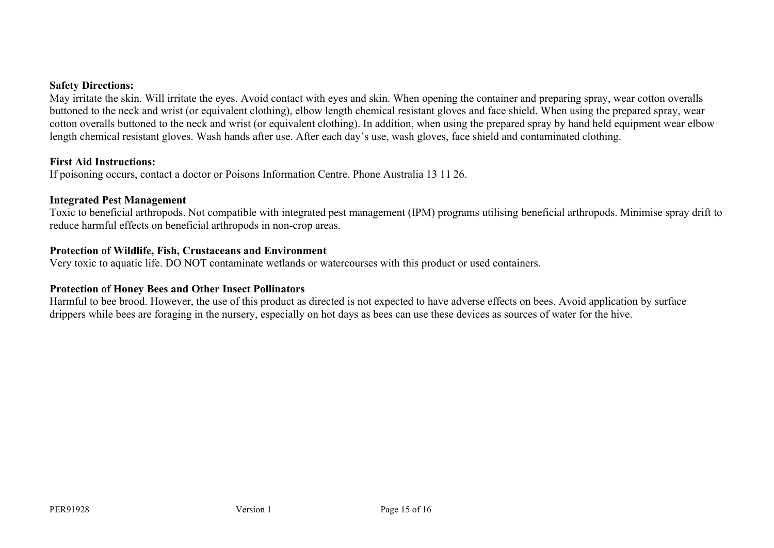#### **Safety Directions:**

May irritate the skin. Will irritate the eyes. Avoid contact with eyes and skin. When opening the container and preparing spray, wear cotton overalls buttoned to the neck and wrist (or equivalent clothing), elbow length chemical resistant gloves and face shield. When using the prepared spray, wear cotton overalls buttoned to the neck and wrist (or equivalent clothing). In addition, when using the prepared spray by hand held equipment wear elbow length chemical resistant gloves. Wash hands after use. After each day's use, wash gloves, face shield and contaminated clothing.

#### **First Aid Instructions:**

If poisoning occurs, contact a doctor or Poisons Information Centre. Phone Australia 13 11 26.

#### **Integrated Pest Management**

Toxic to beneficial arthropods. Not compatible with integrated pest management (IPM) programs utilising beneficial arthropods. Minimise spray drift to reduce harmful effects on beneficial arthropods in non-crop areas.

## **Protection of Wildlife, Fish, Crustaceans and Environment**

Very toxic to aquatic life. DO NOT contaminate wetlands or watercourses with this product or used containers.

## **Protection of Honey Bees and Other Insect Pollinators**

Harmful to bee brood. However, the use of this product as directed is not expected to have adverse effects on bees. Avoid application by surface drippers while bees are foraging in the nursery, especially on hot days as bees can use these devices as sources of water for the hive.